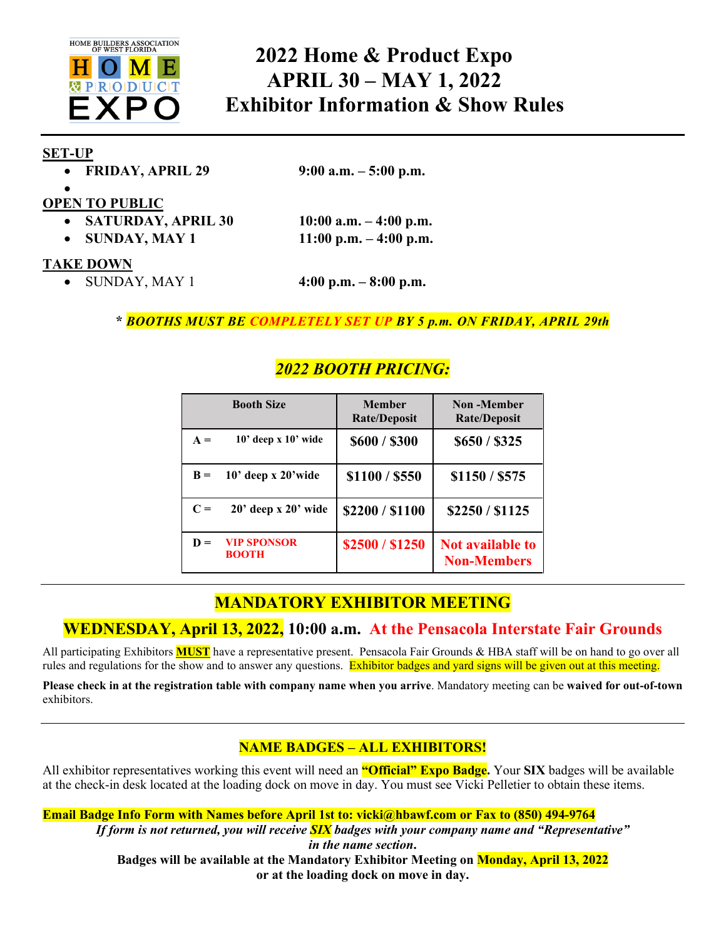

# **2022 Home & Product Expo APRIL 30 – MAY 1, 2022 Exhibitor Information & Show Rules**

#### **SET-UP**

| <b>FRIDAY, APRIL 29</b> |  |  |  |  |  |
|-------------------------|--|--|--|--|--|
|-------------------------|--|--|--|--|--|

• **FRIDAY, APRIL 29 9:00 a.m. – 5:00 p.m.**

#### • **OPEN TO PUBLIC**

|  | <b>SATURDAY, APRIL 30</b> |  |
|--|---------------------------|--|
|--|---------------------------|--|

• **SUNDAY, MAY 1 11:00 p.m. – 4:00 p.m.**

• **SATURDAY, APRIL 30 10:00 a.m. – 4:00 p.m.**

#### **TAKE DOWN**

• SUNDAY, MAY 1 **4:00 p.m. – 8:00 p.m.**

**\*** *BOOTHS MUST BE COMPLETELY SET UP BY 5 p.m. ON FRIDAY, APRIL 29th*

# *2022 BOOTH PRICING:*

|       | <b>Booth Size</b>                  | <b>Member</b><br><b>Rate/Deposit</b> | Non-Member<br><b>Rate/Deposit</b>             |
|-------|------------------------------------|--------------------------------------|-----------------------------------------------|
| $A =$ | $10'$ deep x $10'$ wide            | \$600/\$300                          | \$650 / \$325                                 |
| $B =$ | $10'$ deep x $20'$ wide            | \$1100 / \$550                       | \$1150 / \$575                                |
| $C =$ | $20'$ deep x $20'$ wide            | \$2200/\$1100                        | \$2250/\$1125                                 |
| $D =$ | <b>VIP SPONSOR</b><br><b>BOOTH</b> | \$2500/\$1250                        | <b>Not available to</b><br><b>Non-Members</b> |

# **MANDATORY EXHIBITOR MEETING**

# **WEDNESDAY, April 13, 2022, 10:00 a.m. At the Pensacola Interstate Fair Grounds**

All participating Exhibitors **MUST** have a representative present. Pensacola Fair Grounds & HBA staff will be on hand to go over all rules and regulations for the show and to answer any questions. Exhibitor badges and yard signs will be given out at this meeting.

**Please check in at the registration table with company name when you arrive**. Mandatory meeting can be **waived for out-of-town** exhibitors.

## **NAME BADGES – ALL EXHIBITORS!**

All exhibitor representatives working this event will need an **"Official" Expo Badge.** Your **SIX** badges will be available at the check-in desk located at the loading dock on move in day. You must see Vicki Pelletier to obtain these items.

**Email Badge Info Form with Names before April 1st to: vicki@hbawf.com or Fax to (850) 494-9764** *If form is not returned, you will receive SIX badges with your company name and "Representative" in the name section***. Badges will be available at the Mandatory Exhibitor Meeting on Monday, April 13, 2022**

**or at the loading dock on move in day.**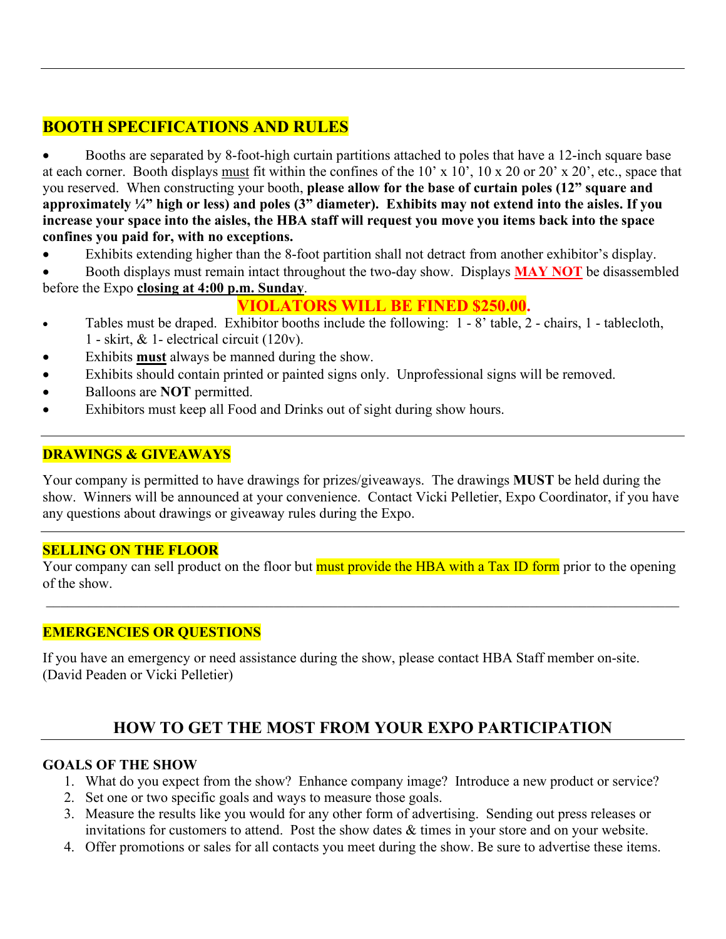# **BOOTH SPECIFICATIONS AND RULES**

• Booths are separated by 8-foot-high curtain partitions attached to poles that have a 12-inch square base at each corner. Booth displays must fit within the confines of the 10' x 10', 10 x 20 or 20' x 20', etc., space that you reserved. When constructing your booth, **please allow for the base of curtain poles (12" square and approximately ¼" high or less) and poles (3" diameter). Exhibits may not extend into the aisles. If you increase your space into the aisles, the HBA staff will request you move you items back into the space confines you paid for, with no exceptions.** 

- Exhibits extending higher than the 8-foot partition shall not detract from another exhibitor's display.
- Booth displays must remain intact throughout the two-day show. Displays **MAY NOT** be disassembled before the Expo **closing at 4:00 p.m. Sunday**.

# **VIOLATORS WILL BE FINED \$250.00.**

- Tables must be draped. Exhibitor booths include the following: 1 8' table, 2 chairs, 1 tablecloth, 1 - skirt, & 1- electrical circuit (120v).
- Exhibits **must** always be manned during the show.
- Exhibits should contain printed or painted signs only. Unprofessional signs will be removed.
- Balloons are **NOT** permitted.
- Exhibitors must keep all Food and Drinks out of sight during show hours.

### **DRAWINGS & GIVEAWAYS**

Your company is permitted to have drawings for prizes/giveaways. The drawings **MUST** be held during the show. Winners will be announced at your convenience. Contact Vicki Pelletier, Expo Coordinator, if you have any questions about drawings or giveaway rules during the Expo.

### **SELLING ON THE FLOOR**

Your company can sell product on the floor but must provide the HBA with a Tax ID form prior to the opening of the show.

### **EMERGENCIES OR QUESTIONS**

If you have an emergency or need assistance during the show, please contact HBA Staff member on-site. (David Peaden or Vicki Pelletier)

# **HOW TO GET THE MOST FROM YOUR EXPO PARTICIPATION**

#### **GOALS OF THE SHOW**

- 1. What do you expect from the show? Enhance company image? Introduce a new product or service?
- 2. Set one or two specific goals and ways to measure those goals.
- 3. Measure the results like you would for any other form of advertising. Sending out press releases or invitations for customers to attend. Post the show dates & times in your store and on your website.
- 4. Offer promotions or sales for all contacts you meet during the show. Be sure to advertise these items.